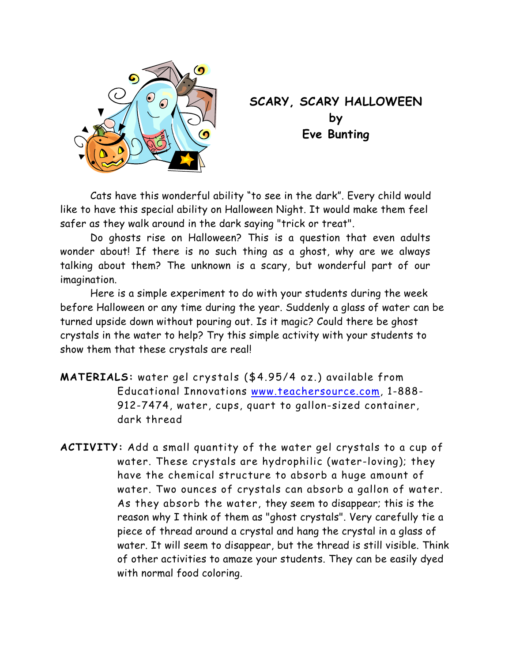

## **SCARY, SCARY HALLOWEEN by Eve Bunting**

 Cats have this wonderful ability "to see in the dark". Every child would like to have this special ability on Halloween Night. It would make them feel safer as they walk around in the dark saying "trick or treat".

 Do ghosts rise on Halloween? This is a question that even adults wonder about! If there is no such thing as a ghost, why are we always talking about them? The unknown is a scary, but wonderful part of our imagination.

 Here is a simple experiment to do with your students during the week before Halloween or any time during the year. Suddenly a glass of water can be turned upside down without pouring out. Is it magic? Could there be ghost crystals in the water to help? Try this simple activity with your students to show them that these crystals are real!

**MATERIALS:** water gel crystals (\$4.95/4 oz.) available from Educational Innovations www.teachersource.com, 1-888- 912-7474, water, cups, quart to gallon-sized container, dark thread

**ACTIVITY:** Add a small quantity of the water gel crystals to a cup of water. These crystals are hydrophilic (water-loving); they have the chemical structure to absorb a huge amount of water. Two ounces of crystals can absorb a gallon of water. As they absorb the water, they seem to disappear; this is the reason why I think of them as "ghost crystals". Very carefully tie a piece of thread around a crystal and hang the crystal in a glass of water. It will seem to disappear, but the thread is still visible. Think of other activities to amaze your students. They can be easily dyed with normal food coloring.